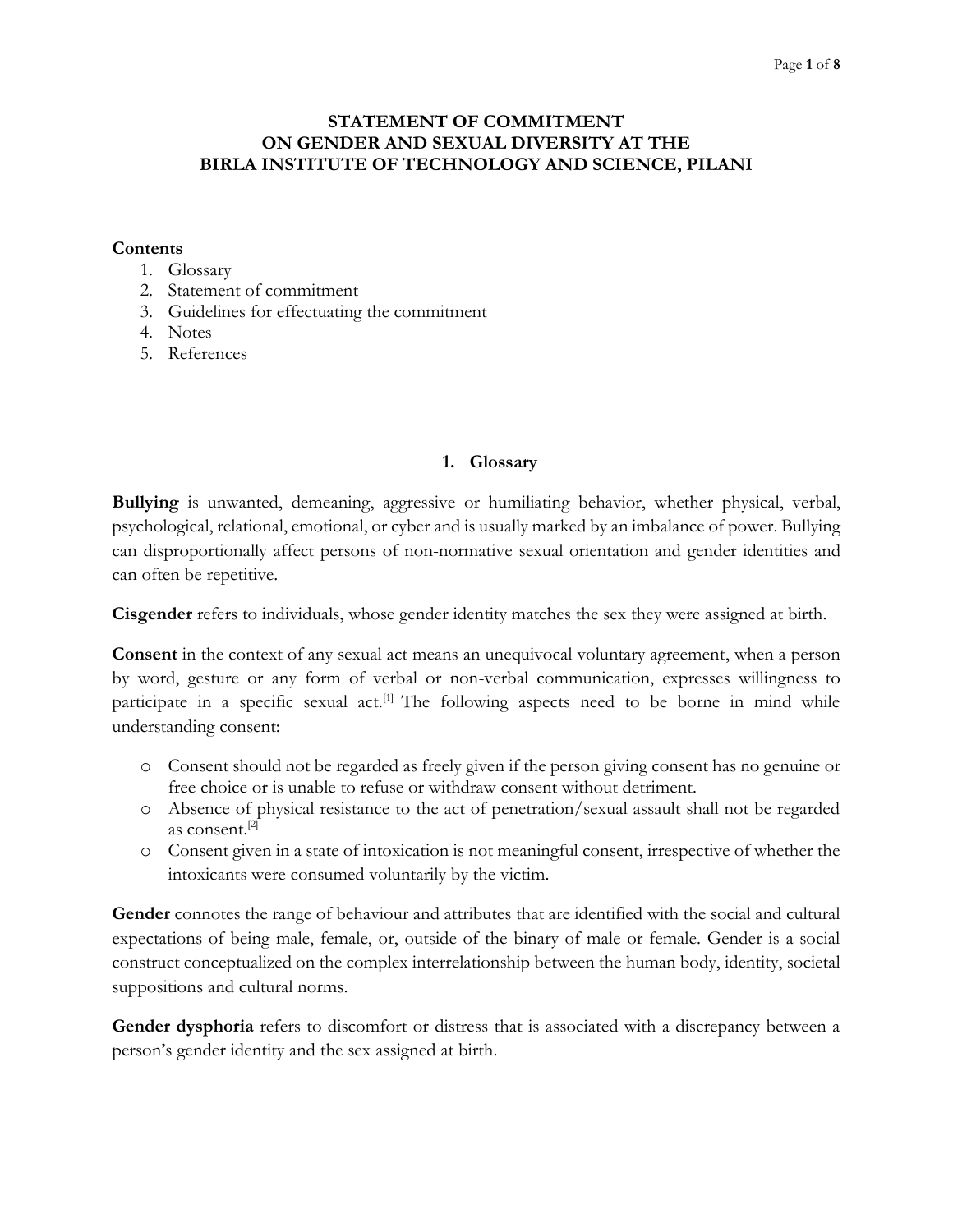# **STATEMENT OF COMMITMENT ON GENDER AND SEXUAL DIVERSITY AT THE BIRLA INSTITUTE OF TECHNOLOGY AND SCIENCE, PILANI**

## **Contents**

- 1. Glossary
- 2. Statement of commitment
- 3. Guidelines for effectuating the commitment
- 4. Notes
- 5. References

# **1. Glossary**

**Bullying** is unwanted, demeaning, aggressive or humiliating behavior, whether physical, verbal, psychological, relational, emotional, or cyber and is usually marked by an imbalance of power. Bullying can disproportionally affect persons of non-normative sexual orientation and gender identities and can often be repetitive.

**Cisgender** refers to individuals, whose gender identity matches the sex they were assigned at birth.

**Consent** in the context of any sexual act means an unequivocal voluntary agreement, when a person by word, gesture or any form of verbal or non-verbal communication, expresses willingness to participate in a specific sexual  $act<sup>[1]</sup>$ . The following aspects need to be borne in mind while understanding consent:

- o Consent should not be regarded as freely given if the person giving consent has no genuine or free choice or is unable to refuse or withdraw consent without detriment.
- o Absence of physical resistance to the act of penetration/sexual assault shall not be regarded as consent.[2]
- o Consent given in a state of intoxication is not meaningful consent, irrespective of whether the intoxicants were consumed voluntarily by the victim.

**Gender** connotes the range of behaviour and attributes that are identified with the social and cultural expectations of being male, female, or, outside of the binary of male or female. Gender is a social construct conceptualized on the complex interrelationship between the human body, identity, societal suppositions and cultural norms.

**Gender dysphoria** refers to discomfort or distress that is associated with a discrepancy between a person's gender identity and the sex assigned at birth.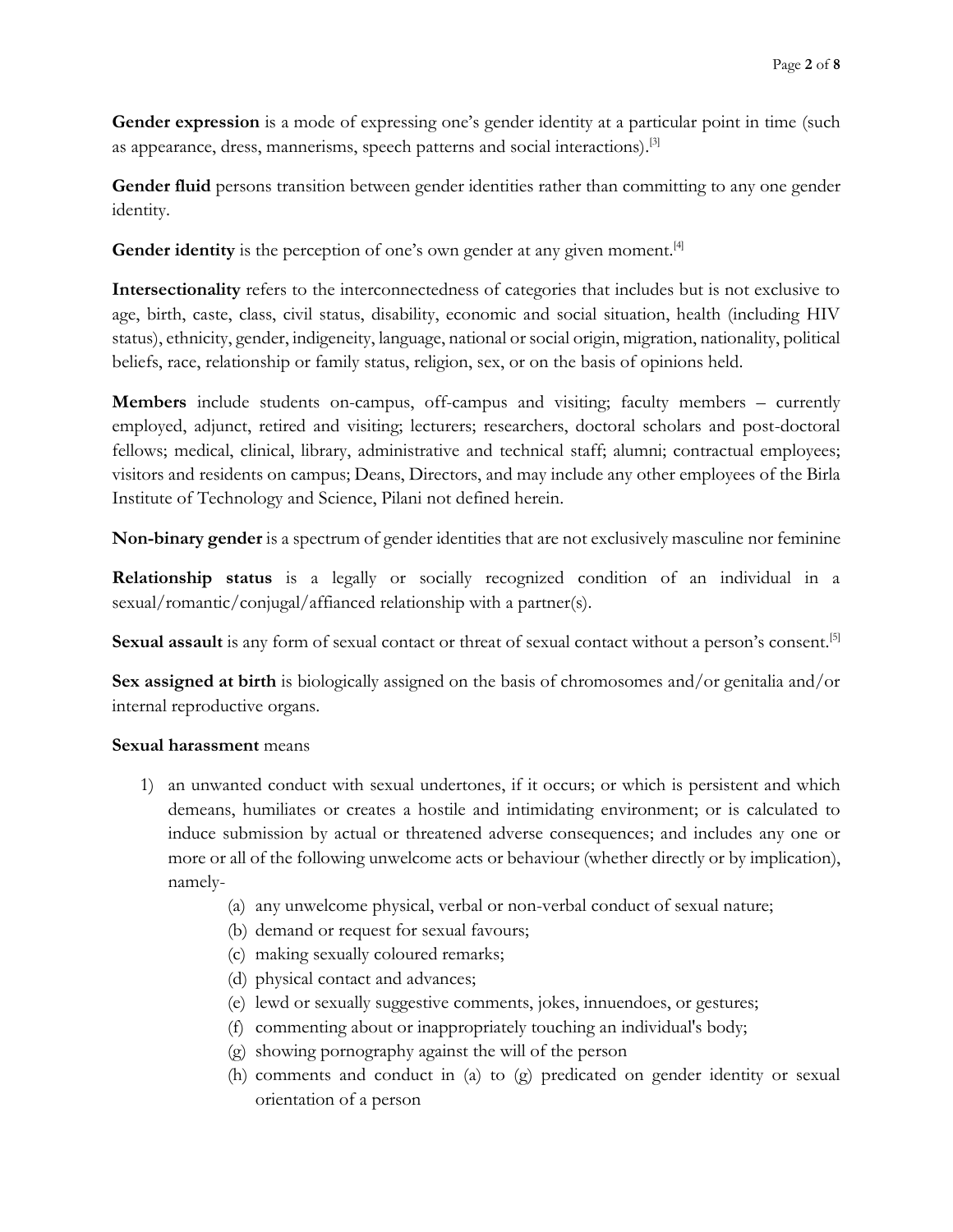**Gender expression** is a mode of expressing one's gender identity at a particular point in time (such as appearance, dress, mannerisms, speech patterns and social interactions). [3]

**Gender fluid** persons transition between gender identities rather than committing to any one gender identity.

**Gender identity** is the perception of one's own gender at any given moment.<sup>[4]</sup>

**Intersectionality** refers to the interconnectedness of categories that includes but is not exclusive to age, birth, caste, class, civil status, disability, economic and social situation, health (including HIV status), ethnicity, gender, indigeneity, language, national or social origin, migration, nationality, political beliefs, race, relationship or family status, religion, sex, or on the basis of opinions held.

**Members** include students on-campus, off-campus and visiting; faculty members – currently employed, adjunct, retired and visiting; lecturers; researchers, doctoral scholars and post-doctoral fellows; medical, clinical, library, administrative and technical staff; alumni; contractual employees; visitors and residents on campus; Deans, Directors, and may include any other employees of the Birla Institute of Technology and Science, Pilani not defined herein.

**Non-binary gender** is a spectrum of gender identities that are not exclusively masculine nor feminine

**Relationship status** is a legally or socially recognized condition of an individual in a sexual/romantic/conjugal/affianced relationship with a partner(s).

Sexual assault is any form of sexual contact or threat of sexual contact without a person's consent.<sup>[5]</sup>

**Sex assigned at birth** is biologically assigned on the basis of chromosomes and/or genitalia and/or internal reproductive organs.

### **Sexual harassment** means

- 1) an unwanted conduct with sexual undertones, if it occurs; or which is persistent and which demeans, humiliates or creates a hostile and intimidating environment; or is calculated to induce submission by actual or threatened adverse consequences; and includes any one or more or all of the following unwelcome acts or behaviour (whether directly or by implication), namely-
	- (a) any unwelcome physical, verbal or non-verbal conduct of sexual nature;
	- (b) demand or request for sexual favours;
	- (c) making sexually coloured remarks;
	- (d) physical contact and advances;
	- (e) lewd or sexually suggestive comments, jokes, innuendoes, or gestures;
	- (f) commenting about or inappropriately touching an individual's body;
	- (g) showing pornography against the will of the person
	- (h) comments and conduct in (a) to (g) predicated on gender identity or sexual orientation of a person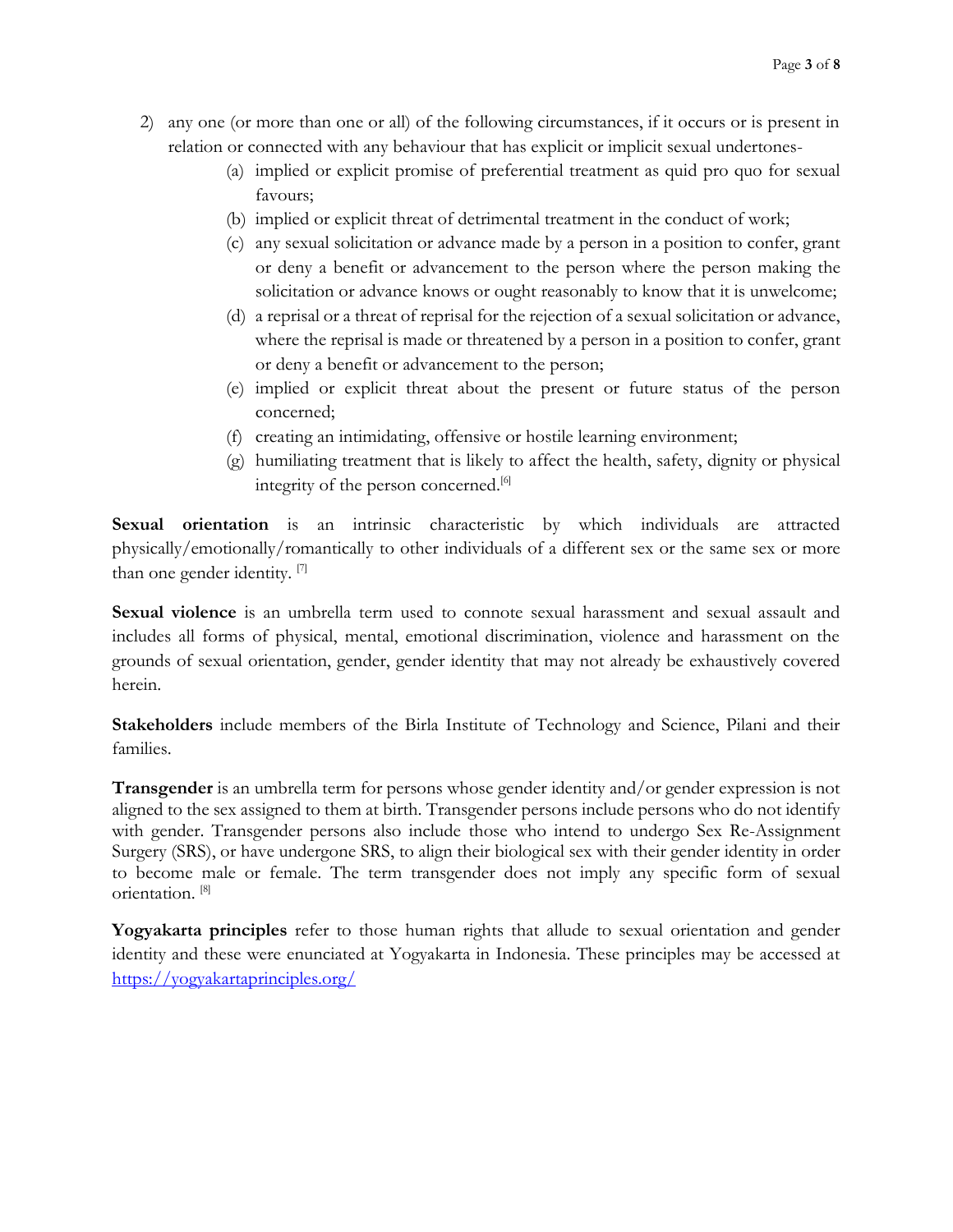- 2) any one (or more than one or all) of the following circumstances, if it occurs or is present in relation or connected with any behaviour that has explicit or implicit sexual undertones-
	- (a) implied or explicit promise of preferential treatment as quid pro quo for sexual favours;
	- (b) implied or explicit threat of detrimental treatment in the conduct of work;
	- (c) any sexual solicitation or advance made by a person in a position to confer, grant or deny a benefit or advancement to the person where the person making the solicitation or advance knows or ought reasonably to know that it is unwelcome;
	- (d) a reprisal or a threat of reprisal for the rejection of a sexual solicitation or advance, where the reprisal is made or threatened by a person in a position to confer, grant or deny a benefit or advancement to the person;
	- (e) implied or explicit threat about the present or future status of the person concerned;
	- (f) creating an intimidating, offensive or hostile learning environment;
	- (g) humiliating treatment that is likely to affect the health, safety, dignity or physical integrity of the person concerned. [6]

**Sexual orientation** is an intrinsic characteristic by which individuals are attracted physically/emotionally/romantically to other individuals of a different sex or the same sex or more than one gender identity.<sup>[7]</sup>

**Sexual violence** is an umbrella term used to connote sexual harassment and sexual assault and includes all forms of physical, mental, emotional discrimination, violence and harassment on the grounds of sexual orientation, gender, gender identity that may not already be exhaustively covered herein.

**Stakeholders** include members of the Birla Institute of Technology and Science, Pilani and their families.

**Transgender** is an umbrella term for persons whose gender identity and/or gender expression is not aligned to the sex assigned to them at birth. Transgender persons include persons who do not identify with gender. Transgender persons also include those who intend to undergo Sex Re-Assignment Surgery (SRS), or have undergone SRS, to align their biological sex with their gender identity in order to become male or female. The term transgender does not imply any specific form of sexual orientation. [8]

**Yogyakarta principles** refer to those human rights that allude to sexual orientation and gender identity and these were enunciated at Yogyakarta in Indonesia. These principles may be accessed at <https://yogyakartaprinciples.org/>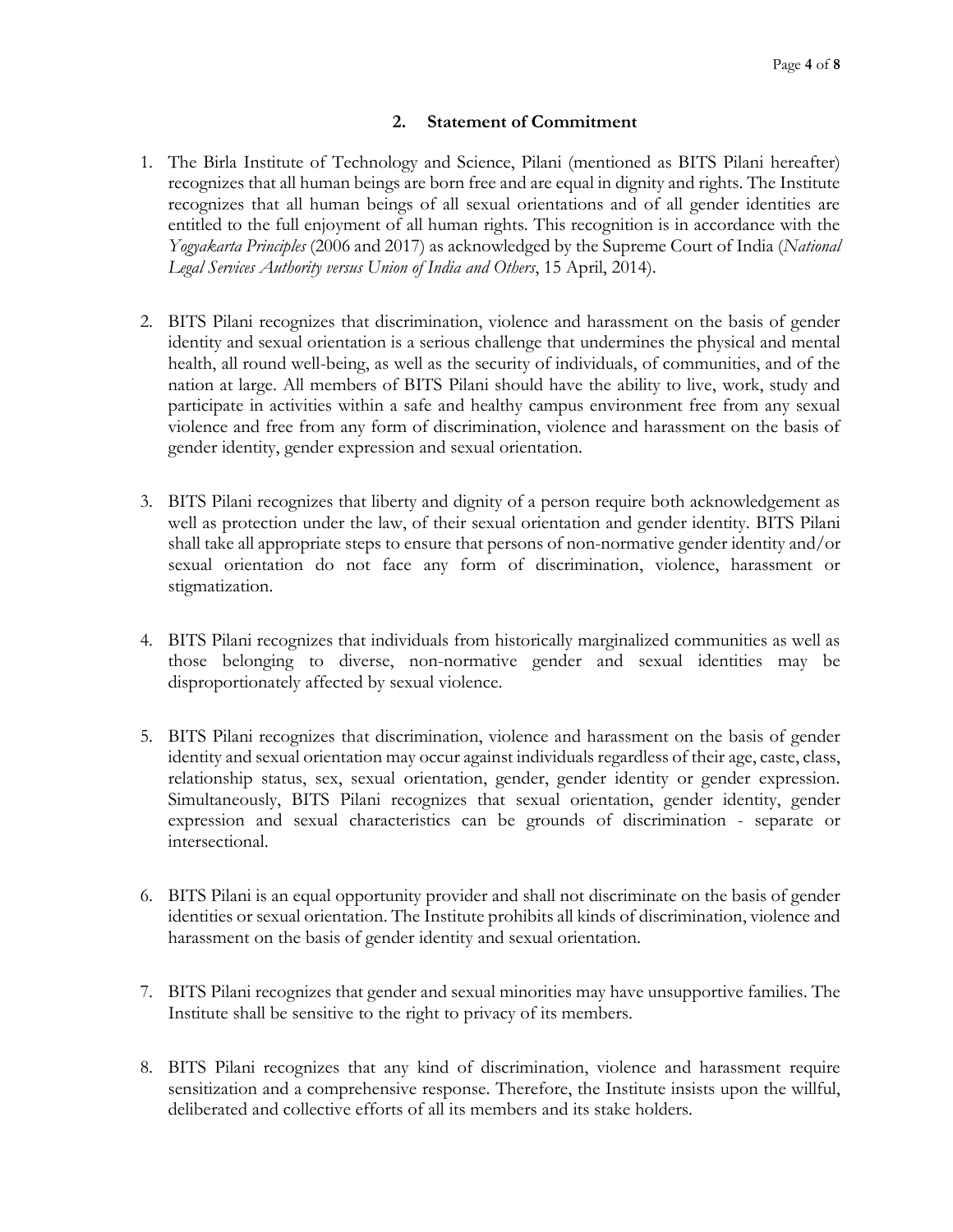## **2. Statement of Commitment**

- 1. The Birla Institute of Technology and Science, Pilani (mentioned as BITS Pilani hereafter) recognizes that all human beings are born free and are equal in dignity and rights. The Institute recognizes that all human beings of all sexual orientations and of all gender identities are entitled to the full enjoyment of all human rights. This recognition is in accordance with the *Yogyakarta Principles* (2006 and 2017) as acknowledged by the Supreme Court of India (*National Legal Services Authority versus Union of India and Others*, 15 April, 2014).
- 2. BITS Pilani recognizes that discrimination, violence and harassment on the basis of gender identity and sexual orientation is a serious challenge that undermines the physical and mental health, all round well-being, as well as the security of individuals, of communities, and of the nation at large. All members of BITS Pilani should have the ability to live, work, study and participate in activities within a safe and healthy campus environment free from any sexual violence and free from any form of discrimination, violence and harassment on the basis of gender identity, gender expression and sexual orientation.
- 3. BITS Pilani recognizes that liberty and dignity of a person require both acknowledgement as well as protection under the law, of their sexual orientation and gender identity. BITS Pilani shall take all appropriate steps to ensure that persons of non-normative gender identity and/or sexual orientation do not face any form of discrimination, violence, harassment or stigmatization.
- 4. BITS Pilani recognizes that individuals from historically marginalized communities as well as those belonging to diverse, non-normative gender and sexual identities may be disproportionately affected by sexual violence.
- 5. BITS Pilani recognizes that discrimination, violence and harassment on the basis of gender identity and sexual orientation may occur against individuals regardless of their age, caste, class, relationship status, sex, sexual orientation, gender, gender identity or gender expression. Simultaneously, BITS Pilani recognizes that sexual orientation, gender identity, gender expression and sexual characteristics can be grounds of discrimination - separate or intersectional.
- 6. BITS Pilani is an equal opportunity provider and shall not discriminate on the basis of gender identities or sexual orientation. The Institute prohibits all kinds of discrimination, violence and harassment on the basis of gender identity and sexual orientation.
- 7. BITS Pilani recognizes that gender and sexual minorities may have unsupportive families. The Institute shall be sensitive to the right to privacy of its members.
- 8. BITS Pilani recognizes that any kind of discrimination, violence and harassment require sensitization and a comprehensive response. Therefore, the Institute insists upon the willful, deliberated and collective efforts of all its members and its stake holders.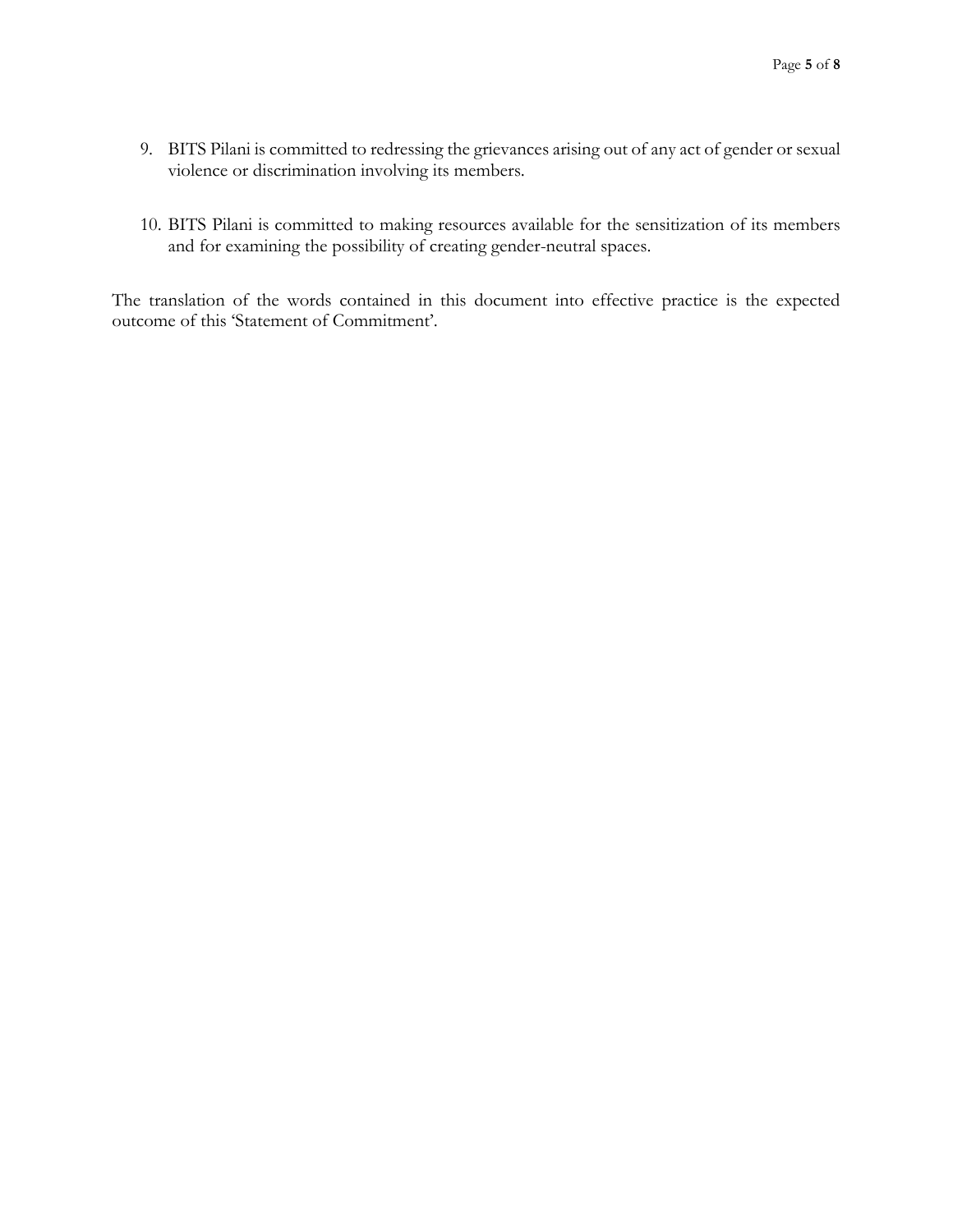- 9. BITS Pilani is committed to redressing the grievances arising out of any act of gender or sexual violence or discrimination involving its members.
- 10. BITS Pilani is committed to making resources available for the sensitization of its members and for examining the possibility of creating gender-neutral spaces.

The translation of the words contained in this document into effective practice is the expected outcome of this 'Statement of Commitment'.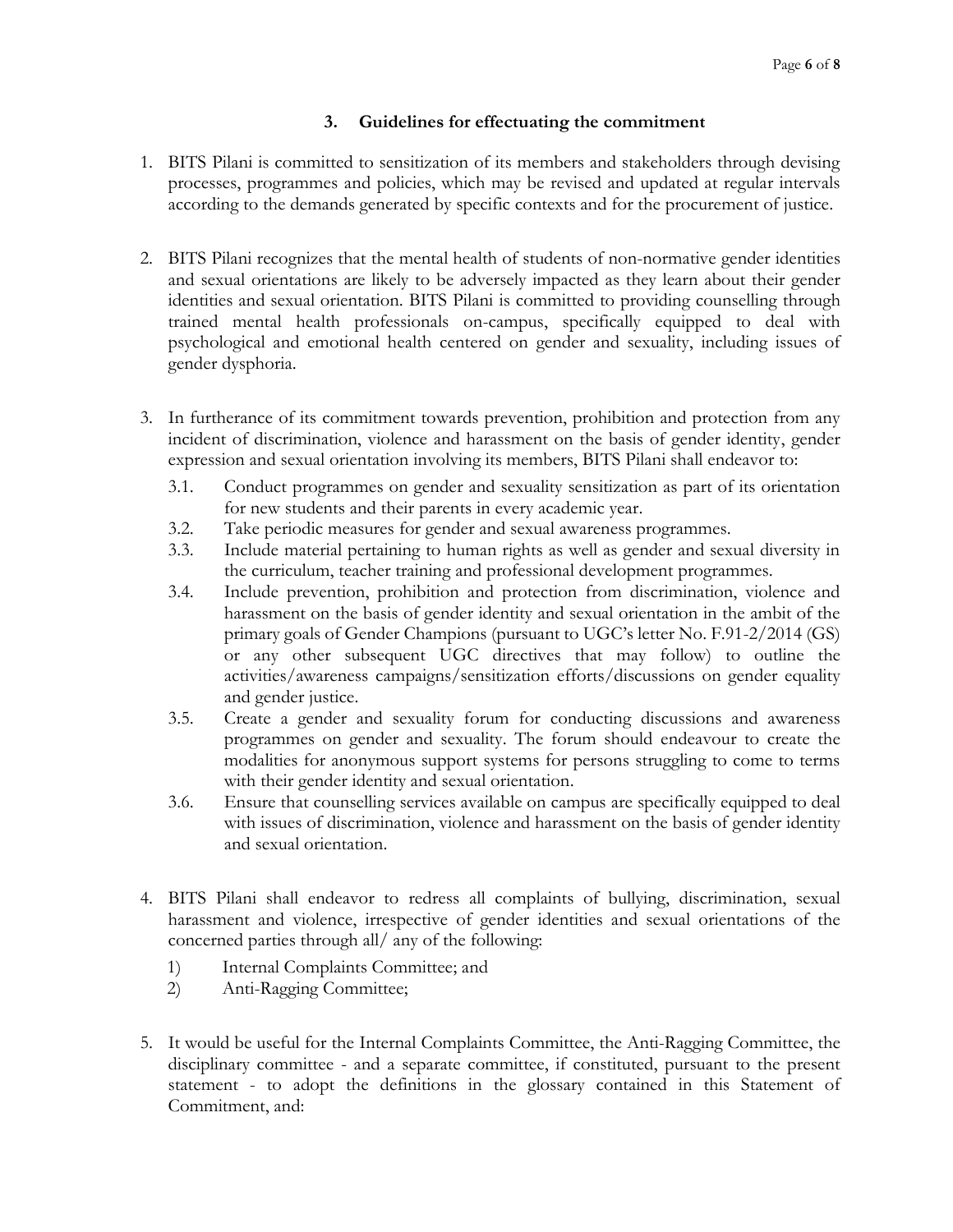# **3. Guidelines for effectuating the commitment**

- 1. BITS Pilani is committed to sensitization of its members and stakeholders through devising processes, programmes and policies, which may be revised and updated at regular intervals according to the demands generated by specific contexts and for the procurement of justice.
- 2. BITS Pilani recognizes that the mental health of students of non-normative gender identities and sexual orientations are likely to be adversely impacted as they learn about their gender identities and sexual orientation. BITS Pilani is committed to providing counselling through trained mental health professionals on-campus, specifically equipped to deal with psychological and emotional health centered on gender and sexuality, including issues of gender dysphoria.
- 3. In furtherance of its commitment towards prevention, prohibition and protection from any incident of discrimination, violence and harassment on the basis of gender identity, gender expression and sexual orientation involving its members, BITS Pilani shall endeavor to:
	- 3.1. Conduct programmes on gender and sexuality sensitization as part of its orientation for new students and their parents in every academic year.
	- 3.2. Take periodic measures for gender and sexual awareness programmes.
	- 3.3. Include material pertaining to human rights as well as gender and sexual diversity in the curriculum, teacher training and professional development programmes.
	- 3.4. Include prevention, prohibition and protection from discrimination, violence and harassment on the basis of gender identity and sexual orientation in the ambit of the primary goals of Gender Champions (pursuant to UGC's letter No. F.91-2/2014 (GS) or any other subsequent UGC directives that may follow) to outline the activities/awareness campaigns/sensitization efforts/discussions on gender equality and gender justice.
	- 3.5. Create a gender and sexuality forum for conducting discussions and awareness programmes on gender and sexuality. The forum should endeavour to create the modalities for anonymous support systems for persons struggling to come to terms with their gender identity and sexual orientation.
	- 3.6. Ensure that counselling services available on campus are specifically equipped to deal with issues of discrimination, violence and harassment on the basis of gender identity and sexual orientation.
- 4. BITS Pilani shall endeavor to redress all complaints of bullying, discrimination, sexual harassment and violence, irrespective of gender identities and sexual orientations of the concerned parties through all/ any of the following:
	- 1) Internal Complaints Committee; and
	- 2) Anti-Ragging Committee;
- 5. It would be useful for the Internal Complaints Committee, the Anti-Ragging Committee, the disciplinary committee - and a separate committee, if constituted, pursuant to the present statement - to adopt the definitions in the glossary contained in this Statement of Commitment, and: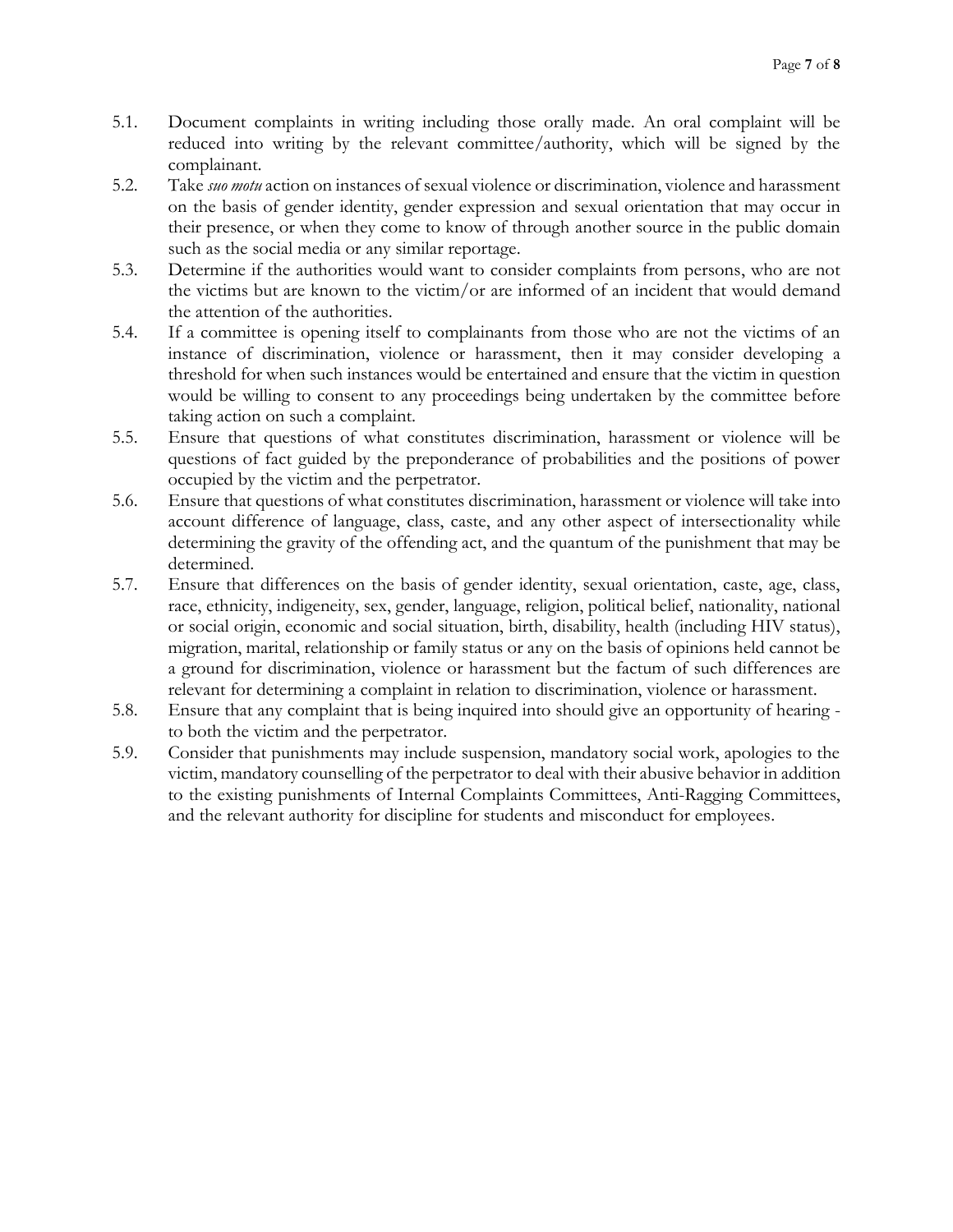- 5.1. Document complaints in writing including those orally made. An oral complaint will be reduced into writing by the relevant committee/authority, which will be signed by the complainant.
- 5.2. Take *suo motu* action on instances of sexual violence or discrimination, violence and harassment on the basis of gender identity, gender expression and sexual orientation that may occur in their presence, or when they come to know of through another source in the public domain such as the social media or any similar reportage.
- 5.3. Determine if the authorities would want to consider complaints from persons, who are not the victims but are known to the victim/or are informed of an incident that would demand the attention of the authorities.
- 5.4. If a committee is opening itself to complainants from those who are not the victims of an instance of discrimination, violence or harassment, then it may consider developing a threshold for when such instances would be entertained and ensure that the victim in question would be willing to consent to any proceedings being undertaken by the committee before taking action on such a complaint.
- 5.5. Ensure that questions of what constitutes discrimination, harassment or violence will be questions of fact guided by the preponderance of probabilities and the positions of power occupied by the victim and the perpetrator.
- 5.6. Ensure that questions of what constitutes discrimination, harassment or violence will take into account difference of language, class, caste, and any other aspect of intersectionality while determining the gravity of the offending act, and the quantum of the punishment that may be determined.
- 5.7. Ensure that differences on the basis of gender identity, sexual orientation, caste, age, class, race, ethnicity, indigeneity, sex, gender, language, religion, political belief, nationality, national or social origin, economic and social situation, birth, disability, health (including HIV status), migration, marital, relationship or family status or any on the basis of opinions held cannot be a ground for discrimination, violence or harassment but the factum of such differences are relevant for determining a complaint in relation to discrimination, violence or harassment.
- 5.8. Ensure that any complaint that is being inquired into should give an opportunity of hearing to both the victim and the perpetrator.
- 5.9. Consider that punishments may include suspension, mandatory social work, apologies to the victim, mandatory counselling of the perpetrator to deal with their abusive behavior in addition to the existing punishments of Internal Complaints Committees, Anti-Ragging Committees, and the relevant authority for discipline for students and misconduct for employees.